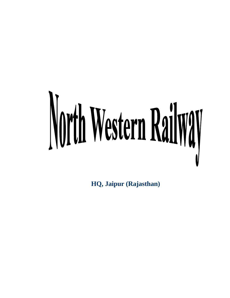# North Western Railway

**HQ, Jaipur (Rajasthan)**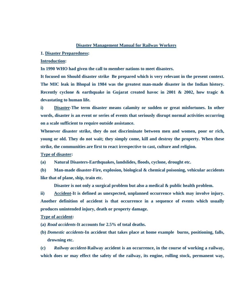#### **Disaster Management Manual for Railway Workers**

**1. Disaster Preparedness:** 

**Introduction:** 

**In 1990 WHO had given the call to member nations to meet disasters.** 

**It focused on Should disaster strike Be prepared which is very relevant in the present context. The MIC leak in Bhopal in 1984 was the greatest man-made disaster in the Indian history. Recently cyclone & earthquake in Gujarat created havoc in 2001 & 2002, how tragic & devastating to human life.** 

**i) Disaster-The term disaster means calamity or sudden or great misfortunes. In other words, disaster is an event or series of events that seriously disrupt normal activities occurring on a scale sufficient to require outside assistance.** 

**Whenever disaster strike, they do not discriminate between men and women, poor or rich, young or old. They do not wait; they simply come, kill and destroy the property. When these strike, the communities are first to react irrespective to cast, culture and religion.** 

**Type of disaster:** 

**(a) Natural Disasters-Earthquakes, landslides, floods, cyclone, drought etc.** 

**(b) Man-made disaster-Fire, explosion, biological & chemical poisoning, vehicular accidents like that of plane, ship, train etc.** 

**Disaster is not only a surgical problem but also a medical & public health problem.** 

**ii) Accident-It is defined as unexpected, unplanned occurrence which may involve injury. Another definition of accident is that occurrence in a sequence of events which usually produces unintended injury, death or property damage.** 

**Type of accident:** 

**(a)** *Road accidents***-It accounts for 2.5% of total deaths.** 

**(b)** *Domestic accidents***-In accident that takes place at home example burns, positioning, falls, drowning etc.** 

**(c)** *Railway accident***-Railway accident is an occurrence, in the course of working a railway, which does or may effect the safety of the railway, its engine, rolling stock, permanent way,**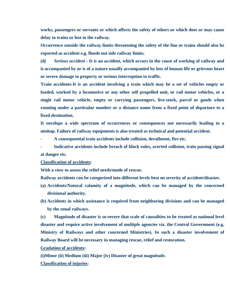**works, passengers or servants or which affects the safety of others or which does or may cause delay to trains or lost to the railway.** 

**Occurrence outside the railway limits threatening the safety of the line or trains should also be reported as accident e.g. floods out side railway limits.** 

**(d***) Serious accident* **- It is an accident, which occurs in the cause of working of railway and is accompanied by or is of a nature usually accompanied by loss of human life or grievous heart or severe damage to property or serious interruption to traffic.** 

**Train accidents-It is an accident involving a train which may be a set of vehicles empty or loaded, worked by a locomotive or any other self propelled unit, or rail motor vehicles, or a single rail motor vehicle, empty or carrying passengers, live-stock, parcel or goods when running under a particular number or a distance name from a fixed point of departure to a fixed destination.** 

**It envelops a wide spectrum of occurrences or consequences not necessarily leading to a mishap. Failure of railway equipments is also treated as technical and potential accident.** 

**- A consequential train accidents include collision, derailment, fire etc.** 

**- Indicative accidents include breach of block rules, averted collision, train passing signal at danger etc.** 

#### **Classification of accidents:**

**With a view to assess the relief needs/mode of rescue.** 

**Railway accidents can be categorized into different levels best on severity of accident/disaster.** 

- **(a) Accidents/Natural calamity of a magnitude, which can be managed by the concerned divisional authority.**
- **(b) Accidents in which assistance is required from neighboring divisions and can be managed by the zonal railways.**

**(c) Magnitude of disaster is so-severe that scale of causalities to be treated as national level disaster and require active involvement of multiple agencies viz. the Central Government (e.g. Ministry of Railways and other concerned Ministries). In such a disaster involvement of Railway Board will be necessary in managing rescue, relief and restoration.** 

**Gradation of accidents:** 

**(i)Minor (ii) Medium (iii) Major (iv) Disaster of great magnitude.** 

**Classification of injuries:**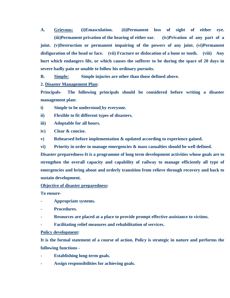**A. Grievous: (i)Emasculation. (ii)Permanent loss of sight of either eye. (iii)Permanent privation of the hearing of either ear. (iv)Privation of any part of a joint. (v)Destruction or permanent impairing of the powers of any joint. (vi)Permanent disfiguration of the head or face. (vii) Fracture or dislocation of a bone or tooth. (viii) Any hurt which endangers life, or which causes the sufferer to be during the space of 20 days in severe badly pain or unable to follow his ordinary pursuits.** 

**B. Simple: Simple injuries are other than those defined above.** 

**2. Disaster Management Plan:** 

**Principals- The following principals should be considered before writing a disaster management plan:** 

**i) Simple to be understood by everyone.** 

**ii) Flexible to fit different types of disasters.** 

**iii) Adoptable for all hours.** 

**iv) Clear & concise.** 

**v) Rehearsed before implementation & updated according to experience gained.** 

**vi) Priority in order to manage emergencies & mass casualties should be well defined.** 

**Disaster preparedness-It is a programme of long term development activities whose goals are to strengthen the overall capacity and capability of railway to manage efficiently all type of emergencies and bring about and orderly transition from relieve through recovery and back to sustain development.** 

**Objective of disaster preparedness:** 

**To ensure-** 

- **Appropriate systems.**
- **Procedures.**
- **Resources are placed at a place to provide prompt effective assistance to victims.**
- **Facilitating relief measures and rehabilitation of services.**

# **Policy development:**

**It is the formal statement of a course of action. Policy is strategic in nature and performs the following functions -** 

- **Establishing long-term goals.**
- **Assign responsibilities for achieving goals.**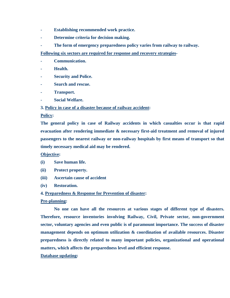- **Establishing recommended work practice.**
- **Determine criteria for decision making.**
- The form of emergency preparedness policy varies from railway to railway.

**Following six sectors are required for response and recovery strategies-** 

- **Communication.**
- **Health.**
- **Security and Police.**
- **Search and rescue.**
- **Transport.**
- **Social Welfare.**

# **3. Policy in case of a disaster because of railway accident:**

# **Policy:**

**The general policy in case of Railway accidents in which casualties occur is that rapid evacuation after rendering immediate & necessary first-aid treatment and removal of injured passengers to the nearest railway or non-railway hospitals by first means of transport so that timely necessary medical aid may be rendered.** 

# **Objective:**

- **(i) Save human life.**
- **(ii) Protect property.**
- **(iii) Ascertain cause of accident**
- **(iv) Restoration.**

# **4. Preparedness & Response for Prevention of disaster:**

# **Pre-planning:**

 **No one can have all the resources at various stages of different type of disasters. Therefore, resource inventories involving Railway, Civil, Private sector, non-government sector, voluntary agencies and even public is of paramount importance. The success of disaster management depends on optimum utilization & coordination of available resources. Disaster preparedness is directly related to many important policies, organizational and operational matters, which affects the preparedness level and efficient response.** 

# **Database updating:**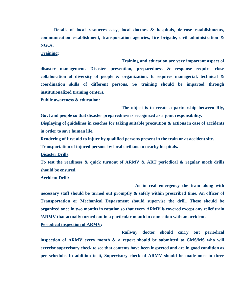**Details of local resources easy, local doctors & hospitals, defense establishments, communication establishment, transportation agencies, fire brigade, civil administration & NGOs.** 

**Training:** 

 **Training and education are very important aspect of disaster management. Disaster prevention, preparedness & response require close collaboration of diversity of people & organization. It requires managerial, technical & coordination skills of different persons. So training should be imparted through institutionalized training centers.** 

**Public awareness & education:** 

 **The object is to create a partnership between Rly, Govt and people so that disaster preparedness is recognized as a joint responsibility.** 

**Displaying of guidelines in coaches for taking suitable precaution & actions in case of accidents in order to save human life.** 

**Rendering of first aid to injure by qualified persons present in the train or at accident site.** 

**Transportation of injured persons by local civilians to nearby hospitals.** 

**Disaster Drills:** 

**To test the readiness & quick turnout of ARMV & ART periodical & regular mock drills should be ensured.** 

#### **Accident Drill:**

 **As in real emergency the train along with necessary staff should be turned out promptly & safely within prescribed time. An officer of Transportation or Mechanical Department should supervise the drill. These should be organized once in two months in rotation so that every ARMV is covered except any relief train /ARMV that actually turned out in a particular month in connection with an accident.** 

**Periodical inspection of ARMV:** 

 **Railway doctor should carry out periodical inspection of ARMV every month & a report should be submitted to CMS/MS who will exercise supervisory check to see that contents have been inspected and are in good condition as per schedule. In addition to it, Supervisory check of ARMV should be made once in three**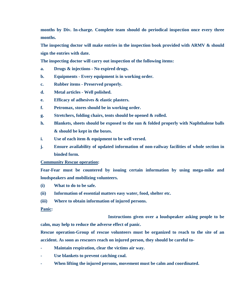**months by Div. In-charge. Complete team should do periodical inspection once every three months.** 

**The inspecting doctor will make entries in the inspection book provided with ARMV & should sign the entries with date.** 

**The inspecting doctor will carry out inspection of the following items:** 

- **a. Drugs & injections No expired drugs.**
- **b. Equipments Every equipment is in working order.**
- **c. Rubber items Preserved properly.**
- **d. Metal articles Well polished.**
- **e. Efficacy of adhesives & elastic plasters.**
- **f. Petromax, stores should be in working order.**
- **g. Stretchers, folding chairs, tents should be opened & rolled.**
- **h. Blankets, sheets should be exposed to the sun & folded properly with Naphthalene balls & should be kept in the boxes.**
- **i. Use of each item & equipment to be well versed.**
- **j. Ensure availability of updated information of non-railway facilities of whole section in binded form.**

#### **Community Rescue operation:**

**Fear-Fear must be countered by issuing certain information by using mega-mike and loudspeakers and mobilizing volunteers.** 

- **(i) What to do to be safe.**
- **(ii) Information of essential matters easy water, food, shelter etc.**
- **(iii) Where to obtain information of injured persons.**

#### **Panic:**

 **Instructions given over a loudspeaker asking people to be calm, may help to reduce the adverse effect of panic.** 

**Rescue operation-Group of rescue volunteers must be organized to reach to the site of an accident. As soon as rescuers reach on injured person, they should be careful to-** 

- **Maintain respiration, clear the victims air way.**
- Use blankets to prevent catching coal.
- **When lifting the injured persons, movement must be calm and coordinated.**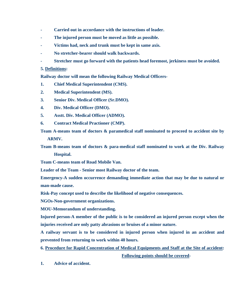- **Carried out in accordance with the instructions of leader.**
- **The injured person must be moved as little as possible.**
- **Victims had, neck and trunk must be kept in same axis.**
- **No stretcher-bearer should walk backwards.**
- **Stretcher must go forward with the patients head foremost, jerkiness must be avoided.**

# **5. Definitions:**

**Railway doctor will mean the following Railway Medical Officers-**

- **1. Chief Medical Superintendent (CMS).**
- **2. Medical Superintendent (MS).**
- **3. Senior Div. Medical Officer (Sr.DMO).**
- **4. Div. Medical Officer (DMO).**
- **5. Asstt. Div. Medical Officer (ADMO).**
- **6. Contract Medical Practioner (CMP).**
- **Team A-means team of doctors & paramedical staff nominated to proceed to accident site by ARMV.**

**Team B-means team of doctors & para-medical staff nominated to work at the Div. Railway Hospital.** 

**Team C-means team of Road Mobile Van.** 

**Leader of the Team - Senior most Railway doctor of the team.** 

**Emergency-A sudden occurrence demanding immediate action that may be due to natural or man-made cause.** 

**Risk-Pay concept used to describe the likelihood of negative consequences.** 

**NGOs-Non-government organizations.** 

**MOU-Memorandum of understanding.** 

**Injured person-A member of the public is to be considered an injured person except when the injuries received are only patty abrasions or bruises of a minor nature.** 

**A railway servant is to be considered in injured person when injured in an accident and prevented from returning to work within 40 hours.** 

# **6. Procedure for Rapid Concentration of Medical Equipments and Staff at the Site of accident: Following points should be covered-**

**1. Advice of accident.**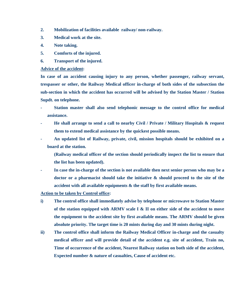- **2. Mobilization of facilities available railway/ non-railway.**
- **3. Medical work at the site.**
- **4. Note taking.**
- **5. Comforts of the injured.**
- **6. Transport of the injured.**

### **Advice of the accident:**

**In case of an accident causing injury to any person, whether passenger, railway servant, trespasser or other, the Railway Medical officer in-charge of both sides of the subsection the sub-section in which the accident has occurred will be advised by the Station Master / Station Supdt. on telephone.** 

- **Station master shall also send telephonic message to the control office for medical assistance.**
- **He shall arrange to send a call to nearby Civil / Private / Military Hospitals & request them to extend medical assistance by the quickest possible means.**
- **An updated list of Railway, private, civil, mission hospitals should be exhibited on a board at the station.** 
	- **(Railway medical officer of the section should periodically inspect the list to ensure that the list has been updated).**
- In case the in-charge of the section is not available then next senior person who may be a **doctor or a pharmacist should take the initiative & should proceed to the site of the accident with all available equipments & the staff by first available means.**

**Action to be taken by Control office:** 

- **i) The control office shall immediately advise by telephone or microwave to Station Master of the station equipped with ARMV scale I & II on either side of the accident to move the equipment to the accident site by first available means. The ARMV should be given absolute priority. The target time is 20 mints during day and 30 mints during night.**
- **ii) The control office shall inform the Railway Medical Officer in-charge and the casualty medical officer and will provide detail of the accident e.g. site of accident, Train no, Time of occurrence of the accident, Nearest Railway station on both side of the accident, Expected number & nature of casualties, Cause of accident etc.**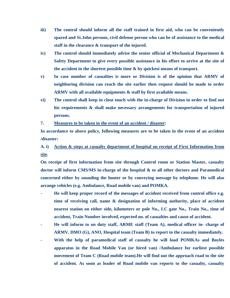- **iii) The control should inform all the staff trained in first aid, who can be conveniently spared and St.John persons, civil defense person who can be of assistance to the medical staff in the clearance & transport of the injured.**
- **iv) The control should immediately advise the senior official of Mechanical Department & Safety Department to give every possible assistance in his effort to arrive at the site of the accident in the shortest possible time & by quickest means of transport.**
- **v) In case number of casualties is more or Division is of the opinion that ARMV of neighboring division can reach the site earlier then request should be made to order ARMV with all available equipments & staff by first available means.**
- **vi) The control shall keep in close touch with the in-charge of Division in order to find out his requirements & shall make necessary arrangements for transportation of injured persons.**

**7. Measures to be taken in the event of an accident / disaster:** 

**In accordance to above policy, following measures are to be taken in the event of an accident /disaster:** 

# **A. i) Action & steps at casualty department of hospital on receipt of First Information from site.**

**On receipt of first information from site through Control room or Station Master, casualty doctor will inform CMS/MS in-charge of the hospital & to all other doctors and Paramedical concerned either by sounding the hooter or by conveying message by telephone. He will also arrange vehicles (e.g. Ambulance, Road mobile van) and POMKA.** 

- **He will keep proper record of the messages of accident received from control office e.g. time of receiving call, name & designation of informing authority, place of accident nearest station on either side, kilometers or pole No., LC gate No., Train No., time of accident, Train Number involved, expected no. of casualties and cause of accident.**
- **He will inform to on duty staff, ARME staff (Team A), medical officer in- charge of ARMV, DMO (G), ANO, Hospital team (Team B) to report to the casualty immediately.**
- With the help of paramedical staff of casualty he will load POMKAs and Boyles **apparatus in the Road Mobile Van (or hired van) /Ambulance for earliest possible movement of Team C (Road mobile team).He will find out the approach road to the site of accident. As soon as leader of Road mobile van reports to the casualty, casualty**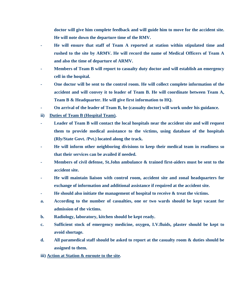**doctor will give him complete feedback and will guide him to move for the accident site. He will note down the departure time of the RMV.** 

- **He will ensure that staff of Team A reported at station within stipulated time and rushed to the site by ARMV. He will record the name of Medical Officers of Team A and also the time of departure of ARMV.**
- **Members of Team B will report to casualty duty doctor and will establish an emergency cell in the hospital.**
- **One doctor will be sent to the control room. He will collect complete information of the accident and will convey it to leader of Team B. He will coordinate between Team A, Team B & Headquarter. He will give first information to HQ.**
- **On arrival of the leader of Team B, he (casualty doctor) will work under his guidance.**
- **ii) Duties of Team B (Hospital Team).**
- **Leader of Team B will contact the local hospitals near the accident site and will request them to provide medical assistance to the victims, using database of the hospitals (Rly/State Govt. /Pvt.) located along the track.**
- **He will inform other neighboring divisions to keep their medical team in readiness so that their services can be availed if needed.**
- **Members of civil defense, St.John ambulance & trained first-aiders must be sent to the accident site.**
- **He will maintain liaison with control room, accident site and zonal headquarters for exchange of information and additional assistance if required at the accident site.**
- **He should also initiate the management of hospital to receive & treat the victims.**
- **a. According to the number of casualties, one or two wards should be kept vacant for admission of the victims.**
- **b. Radiology, laboratory, kitchen should be kept ready.**
- **c. Sufficient stock of emergency medicine, oxygen, I.V.fluids, plaster should be kept to avoid shortage.**
- **d. All paramedical staff should be asked to report at the casualty room & duties should be assigned to them.**
- **iii) Action at Station & enroute to the site.**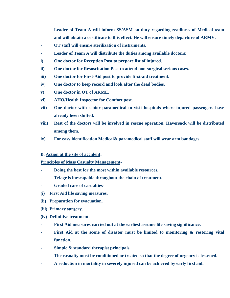- **Leader of Team A will inform SS/ASM on duty regarding readiness of Medical team and will obtain a certificate to this effect. He will ensure timely departure of ARMV.**
- **OT staff will ensure sterilization of instruments.**
- **Leader of Team A will distribute the duties among available doctors:**
- **i) One doctor for Reception Post to prepare list of injured.**
- **ii) One doctor for Resuscitation Post to attend non-surgical serious cases.**
- **iii) One doctor for First-Aid post to provide first-aid treatment.**
- **iv) One doctor to keep record and look after the dead bodies.**
- **v) One doctor in OT of ARME.**
- **vi) AHO/Health Inspector for Comfort post.**
- **vii) One doctor with senior paramedical to visit hospitals where injured passengers have already been shifted.**
- **viii) Rest of the doctors will be involved in rescue operation. Haversack will be distributed among them.**
- **ix) For easy identification Medical& paramedical staff will wear arm bandages.**

# **B. Action at the site of accident:**

# **Principles of Mass Casualty Management-**

- **Doing the best for the most within available resources.**
- **Triage is inescapable throughout the chain of treatment.**
- **Graded care of casualties-**
- **(i) First Aid life saving measures.**
- **(ii) Preparation for evacuation.**
- **(iii) Primary surgery.**
- **(iv) Definitive treatment.**
- **First Aid measures carried out at the earliest assume life saving significance.**
- First Aid at the scene of disaster must be limited to monitoring & restoring vital **function.**
- **Simple & standard therapist principals.**
- **The casualty must be conditioned or treated so that the degree of urgency is lessened.**
- **A reduction in mortality in severely injured can be achieved by early first aid.**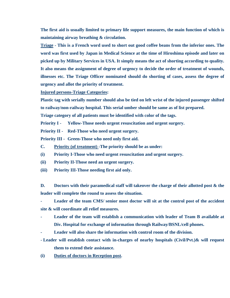**The first aid is usually limited to primary life support measures, the main function of which is maintaining airway breathing & circulation.** 

**Triage - This is a French word used to short out good coffee beans from the inferior ones. The word was first used by Japan in Medical Science at the time of Hiroshima episode and later on picked up by Military Services in USA. It simply means the act of shorting according to quality. It also means the assignment of degree of urgency to decide the order of treatment of wounds, illnesses etc. The Triage Officer nominated should do shorting of cases, assess the degree of urgency and allot the priority of treatment.** 

**Injured persons-Triage Categories:** 

**Plastic tag with serially number should also be tied on left wrist of the injured passenger shifted to railway/non-railway hospital. This serial umber should be same as of list prepared.** 

**Triage category of all patients must be identified with color of the tags.** 

**Priority I - Yellow-Those needs urgent resuscitation and urgent surgery.** 

**Priority II - Red-Those who need urgent surgery.** 

**Priority III - Green-Those who need only first aid.** 

- **C. Priority (of treatment) -The priority should be as under:**
- **(i) Priority I-Those who need urgent resuscitation and urgent surgery.**
- **(ii) Priority II-Those need an urgent surgery.**
- **(iii) Priority III-Those needing first aid only.**

**D. Doctors with their paramedical staff will takeover the charge of their allotted post & the leader will complete the round to assess the situation.** 

**- Leader of the team CMS/ senior most doctor will sit at the control post of the accident site & will coordinate all relief measures.** 

- Leader of the team will establish a communication with leader of Team B available at **Div. Hospital for exchange of information through Railway/BSNL/cell phones.**
- **Leader will also share the information with control room of the division.**

**- Leader will establish contact with in-charges of nearby hospitals (Civil/Pvt.)& will request them to extend their assistance.** 

**(i) Duties of doctors in Reception post.**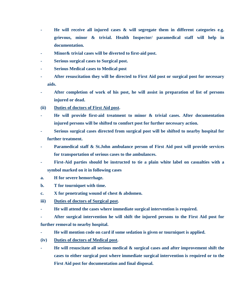- **He will receive all injured cases & will segregate them in different categories e.g. grievous, minor & trivial. Health Inspector/ paramedical staff will help in documentation.**
- **Minor& trivial cases will be diverted to first-aid post.**
- **Serious surgical cases to Surgical post.**
- **Serious Medical cases to Medical post**
- **After resuscitation they will be directed to First Aid post or surgical post for necessary aids.**
- **After completion of work of his post, he will assist in preparation of list of persons injured or dead.**
- **(ii) Duties of doctors of First Aid post.**
- **He will provide first-aid treatment to minor & trivial cases. After documentation injured persons will be shifted to comfort post for further necessary action.**
- **Serious surgical cases directed from surgical post will be shifted to nearby hospital for further treatment.**
- Paramedical staff & St.John ambulance person of First Aid post will provide services **for transportation of serious cases to the ambulances.**
- First-Aid parties should be instructed to tie a plain white label on casualties with a **symbol marked on it in following cases**
- **a. H for severe hemorrhage.**
- **b. T for tourniquet with time.**
- **c. X for penetrating wound of chest & abdomen.**
- **iii) Duties of doctors of Surgical post.**
- **He will attend the cases where immediate surgical intervention is required.**
- **After surgical intervention he will shift the injured persons to the First Aid post for further removal to nearby hospital.**
- **He will mention code on card if some sedation is given or tourniquet is applied.**
- **(iv) Duties of doctors of Medical post.**
- **He will resuscitate all serious medical & surgical cases and after improvement shift the cases to either surgical post where immediate surgical intervention is required or to the First Aid post for documentation and final disposal.**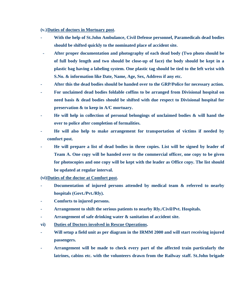**(v.) Duties of doctors in Mortuary post.** 

- **With the help of St.John Ambulance, Civil Defense personnel, Paramedicals dead bodies should be shifted quickly to the nominated place of accident site.**
- **After proper documentation and photography of each dead body (Two photo should be of full body length and two should be close-up of face) the body should be kept in a plastic bag having a labeling system. One plastic tag should be tied to the left wrist with S.No. & information like Date, Name, Age, Sex, Address if any etc.**
- **After this the dead bodies should be handed over to the GRP/Police for necessary action.**
- **For unclaimed dead bodies foldable coffins to be arranged from Divisional hospital on need basis & dead bodies should be shifted with due respect to Divisional hospital for preservation & to keep in A/C mortuary.**
- **He will help in collection of personal belongings of unclaimed bodies & will hand the over to police after completion of formalities.**
- **He will also help to make arrangement for transportation of victims if needed by comfort post.**
- **He will prepare a list of dead bodies in three copies. List will be signed by leader of Team A. One copy will be handed over to the commercial officer, one copy to be given for photocopies and one copy will be kept with the leader as Office copy. The list should be updated at regular interval.**
- **(vi) Duties of the doctor at Comfort post.**
- **Documentation of injured persons attended by medical team & referred to nearby hospitals (Govt./Pvt./Rly).**
- **Comforts to injured persons.**
- **Arrangement to shift the serious patients to nearby Rly./Civil/Pvt. Hospitals.**
- **Arrangement of safe drinking water & sanitation of accident site.**
- **vi) Duties of Doctors involved in Rescue Operations.**
- **Will setup a field unit as per diagram in the IRMM 2000 and will start receiving injured passengers.**
- **Arrangement will be made to check every part of the affected train particularly the latrines, cabins etc. with the volunteers drawn from the Railway staff. St.John brigade**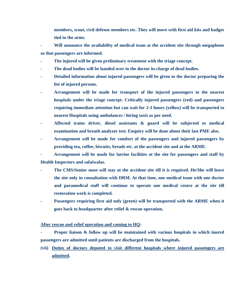**members, scout, civil defense members etc. They will move with first aid kits and badges tied in the arms.** 

**- Will announce the availability of medical team at the accident site through megaphone so that passengers are informed.** 

- The injured will be given preliminary treatment with the triage concept.
- **The dead bodies will be handed over to the doctor in-charge of dead bodies.**
- **Detailed information about injured passengers will be given to the doctor preparing the list of injured persons.**
- **Arrangement will be made for transport of the injured passengers to the nearest hospitals under the triage concept. Critically injured passengers (red) and passengers requiring immediate attention but can wait for 2-3 hours (yellow) will be transported to nearest Hospitals using ambulances / hiring taxis as per need.**
- **Affected trains driver, diesel assistants & guard will be subjected to medical examination and breath analyzer test. Enquiry will be done about their last PME also.**
- **Arrangement will be made for comfort of the passengers and injured passengers by providing tea, coffee, biscuits, breads etc. at the accident site and at the ARME.**

**- Arrangement will be made for latrine facilities at the site for passengers and staff by Health Inspectors and safaiwalas.** 

- **The CMS/Senior most will stay at the accident site till it is required. He/She will leave the site only in consultation with DRM. At that time, one medical team with one doctor and paramedical staff will continue to operate one medical centre at the site till restoration work is completed.**
- Passengers requiring first aid only (green) will be transported with the ARME when it **goes back to headquarter after relief & rescue operation.**

#### **After rescue and relief operation and coming to HQ:**

- **Proper liaison & follow up will be maintained with various hospitals in which inured passengers are admitted until patients are discharged from the hospitals.**
- **(vii) Duties of doctors deputed to visit different hospitals where injured passengers are admitted.**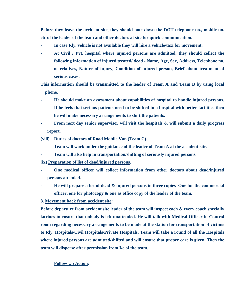**Before they leave the accident site, they should note down the DOT telephone no., mobile no. etc of the leader of the team and other doctors at site for quick communication.** 

- In case Rly. vehicle is not available they will hire a vehicle/taxi for movement.
- **At Civil / Pvt. hospital where injured persons are admitted, they should collect the following information of injured treated/ dead - Name, Age, Sex, Address, Telephone no. of relatives, Nature of injury, Condition of injured person, Brief about treatment of serious cases.**

**This information should be transmitted to the leader of Team A and Team B by using local phone.** 

- **He should make an assessment about capabilities of hospital to handle injured persons. If he feels that serious patients need to be shifted to a hospital with better facilities then he will make necessary arrangements to shift the patients.**
- From next day senior supervisor will visit the hospitals & will submit a daily progress **report.**
- **(viii) Duties of doctors of Road Mobile Van (Team C).**
- **Team will work under the guidance of the leader of Team A at the accident-site.**
- **Team will also help in transportation/shifting of seriously injured persons.**
- **(ix) Preparation of list of dead/injured persons.**
- **One medical officer will collect information from other doctors about dead/injured persons attended.**
- **He will prepare a list of dead & injured persons in three copies One for the commercial officer, one for photocopy & one as office copy of the leader of the team.**
- **8. Movement back from accident site:**

**Before departure from accident site leader of the team will inspect each & every coach specially latrines to ensure that nobody is left unattended. He will talk with Medical Officer in Control room regarding necessary arrangements to be made at the station for transportation of victims to Rly. Hospitals/Civil Hospitals/Private Hospitals. Team will take a round of all the Hospitals where injured persons are admitted/shifted and will ensure that proper care is given. Then the team will disperse after permission from I/c of the team.** 

#### **Follow Up Action:**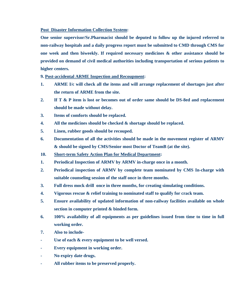**Post Disaster Information Collection System:** 

**One senior supervisor/Sr.Pharmacist should be deputed to follow up the injured referred to non-railway hospitals and a daily progress report must be submitted to CMD through CMS for one week and then biweekly. If required necessary medicines & other assistance should be provided on demand of civil medical authorities including transportation of serious patients to higher centers.** 

**9. Post-accidental ARME Inspection and Recoupment:** 

- **1. ARME I/c will check all the items and will arrange replacement of shortages just after the return of ARME from the site.**
- **2. If T & P item is lost or becomes out of order same should be DS-8ed and replacement should be made without delay.**
- **3. Items of comforts should be replaced.**
- **4. All the medicines should be checked & shortage should be replaced.**
- **5. Linen, rubber goods should be recouped.**
- **6. Documentation of all the activities should be made in the movement register of ARMV & should be signed by CMS/Senior most Doctor of TeamB (at the site).**
- **10. Short-term Safety Action Plan for Medical Department:**
- **1. Periodical Inspection of ARMV by ARMV in-charge once in a month.**
- **2. Periodical inspection of ARMV by complete team nominated by CMS In-charge with suitable counseling session of the staff once in three months.**
- **3. Full dress mock drill once in three months, for creating simulating conditions.**
- **4. Vigorous rescue & relief training to nominated staff to qualify for crack team.**
- **5. Ensure availability of updated information of non-railway facilities available on whole section in computer printed & binded form.**
- **6. 100% availability of all equipments as per guidelines issued from time to time in full working order.**
- **7. Also to include-**
- **Use of each & every equipment to be well versed.**
- **Every equipment in working order.**
- **No expiry date drugs.**
- **All rubber items to be preserved properly.**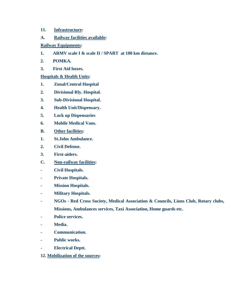- **11. Infrastructure:**
- **A. Railway facilities available:**
- **Railway Equipments:**
- **1. ARMV scale I & scale II / SPART at 100 km distance.**
- **2. POMKA.**
- **3. First Aid boxes.**

# **Hospitals & Health Units:**

- **1. Zonal/Central Hospital**
- **2. Divisional Rly. Hospital.**
- **3. Sub-Divisional Hospital.**
- **4. Health Unit/Dispensary.**
- **5. Lock up Dispensaries**
- **6. Mobile Medical Vans.**
- **B. Other facilities:**
- **1. St.John Ambulance.**
- **2. Civil Defense.**
- **3. First-aiders.**
- **C. Non-railway facilities:**
- **Civil Hospitals.**
- **Private Hospitals.**
- **Mission Hospitals.**
- **Military Hospitals.**
- **NGOs Red Cross Society, Medical Association & Councils, Lions Club, Rotary clubs, Missions, Ambulances services, Taxi Association, Home guards etc.**
- **Police services.**
- **Media.**
- **Communication.**
- **Public works.**
- **Electrical Deptt.**
- **12. Mobilization of the sources:**